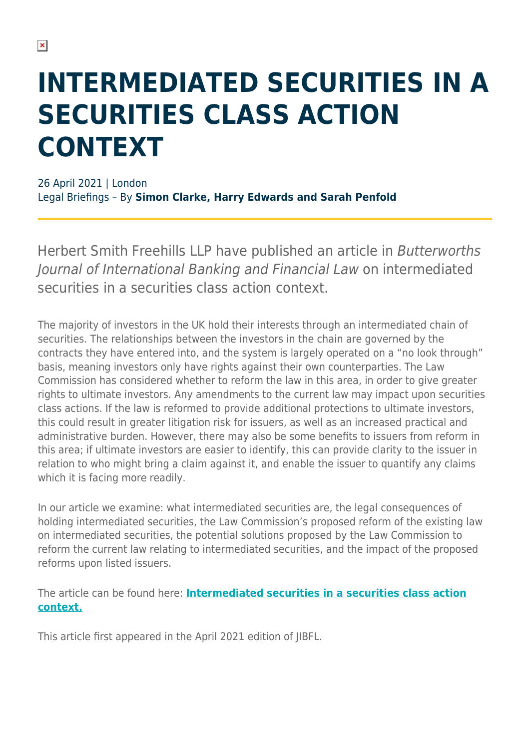## **INTERMEDIATED SECURITIES IN A SECURITIES CLASS ACTION CONTEXT**

26 April 2021 | London Legal Briefings – By **Simon Clarke, Harry Edwards and Sarah Penfold**

Herbert Smith Freehills LLP have published an article in Butterworths Journal of International Banking and Financial Law on intermediated securities in a securities class action context.

The majority of investors in the UK hold their interests through an intermediated chain of securities. The relationships between the investors in the chain are governed by the contracts they have entered into, and the system is largely operated on a "no look through" basis, meaning investors only have rights against their own counterparties. The Law Commission has considered whether to reform the law in this area, in order to give greater rights to ultimate investors. Any amendments to the current law may impact upon securities class actions. If the law is reformed to provide additional protections to ultimate investors, this could result in greater litigation risk for issuers, as well as an increased practical and administrative burden. However, there may also be some benefits to issuers from reform in this area; if ultimate investors are easier to identify, this can provide clarity to the issuer in relation to who might bring a claim against it, and enable the issuer to quantify any claims which it is facing more readily.

In our article we examine: what intermediated securities are, the legal consequences of holding intermediated securities, the Law Commission's proposed reform of the existing law on intermediated securities, the potential solutions proposed by the Law Commission to reform the current law relating to intermediated securities, and the impact of the proposed reforms upon listed issuers.

The article can be found here: **[Intermediated securities in a securities class action](https://sites-herbertsmithfreehills.vuturevx.com/20/24346/landing-pages/intermediated-securities-in-a-securities-class-action-context.pdf) [context.](https://sites-herbertsmithfreehills.vuturevx.com/20/24346/landing-pages/intermediated-securities-in-a-securities-class-action-context.pdf)**

This article first appeared in the April 2021 edition of JIBFL.